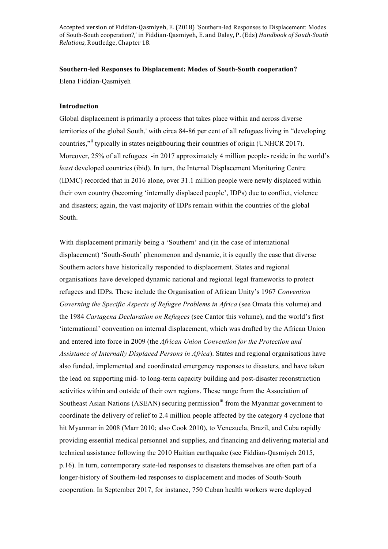# **Southern-led Responses to Displacement: Modes of South-South cooperation?**

Elena Fiddian-Qasmiyeh

# **Introduction**

Global displacement is primarily a process that takes place within and across diverse territories of the global South,<sup>i</sup> with circa 84-86 per cent of all refugees living in "developing countries,<sup>"ii</sup> typically in states neighbouring their countries of origin (UNHCR 2017). Moreover, 25% of all refugees -in 2017 approximately 4 million people- reside in the world's *least* developed countries (ibid). In turn, the Internal Displacement Monitoring Centre (IDMC) recorded that in 2016 alone, over 31.1 million people were newly displaced within their own country (becoming 'internally displaced people', IDPs) due to conflict, violence and disasters; again, the vast majority of IDPs remain within the countries of the global South.

With displacement primarily being a 'Southern' and (in the case of international displacement) 'South-South' phenomenon and dynamic, it is equally the case that diverse Southern actors have historically responded to displacement. States and regional organisations have developed dynamic national and regional legal frameworks to protect refugees and IDPs. These include the Organisation of African Unity's 1967 *Convention Governing the Specific Aspects of Refugee Problems in Africa* (see Omata this volume) and the 1984 *Cartagena Declaration on Refugees* (see Cantor this volume), and the world's first 'international' convention on internal displacement, which was drafted by the African Union and entered into force in 2009 (the *African Union Convention for the Protection and Assistance of Internally Displaced Persons in Africa*). States and regional organisations have also funded, implemented and coordinated emergency responses to disasters, and have taken the lead on supporting mid- to long-term capacity building and post-disaster reconstruction activities within and outside of their own regions. These range from the Association of Southeast Asian Nations (ASEAN) securing permission<sup>iii</sup> from the Myanmar government to coordinate the delivery of relief to 2.4 million people affected by the category 4 cyclone that hit Myanmar in 2008 (Marr 2010; also Cook 2010), to Venezuela, Brazil, and Cuba rapidly providing essential medical personnel and supplies, and financing and delivering material and technical assistance following the 2010 Haitian earthquake (see Fiddian-Qasmiyeh 2015, p.16). In turn, contemporary state-led responses to disasters themselves are often part of a longer-history of Southern-led responses to displacement and modes of South-South cooperation. In September 2017, for instance, 750 Cuban health workers were deployed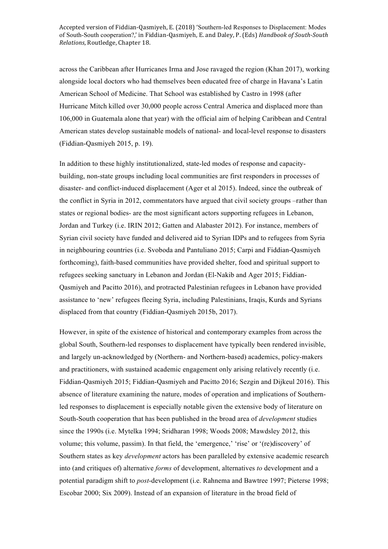across the Caribbean after Hurricanes Irma and Jose ravaged the region (Khan 2017), working alongside local doctors who had themselves been educated free of charge in Havana's Latin American School of Medicine. That School was established by Castro in 1998 (after Hurricane Mitch killed over 30,000 people across Central America and displaced more than 106,000 in Guatemala alone that year) with the official aim of helping Caribbean and Central American states develop sustainable models of national- and local-level response to disasters (Fiddian-Qasmiyeh 2015, p. 19).

In addition to these highly institutionalized, state-led modes of response and capacitybuilding, non-state groups including local communities are first responders in processes of disaster- and conflict-induced displacement (Ager et al 2015). Indeed, since the outbreak of the conflict in Syria in 2012, commentators have argued that civil society groups –rather than states or regional bodies- are the most significant actors supporting refugees in Lebanon, Jordan and Turkey (i.e. IRIN 2012; Gatten and Alabaster 2012). For instance, members of Syrian civil society have funded and delivered aid to Syrian IDPs and to refugees from Syria in neighbouring countries (i.e. Svoboda and Pantuliano 2015; Carpi and Fiddian-Qasmiyeh forthcoming), faith-based communities have provided shelter, food and spiritual support to refugees seeking sanctuary in Lebanon and Jordan (El-Nakib and Ager 2015; Fiddian-Qasmiyeh and Pacitto 2016), and protracted Palestinian refugees in Lebanon have provided assistance to 'new' refugees fleeing Syria, including Palestinians, Iraqis, Kurds and Syrians displaced from that country (Fiddian-Qasmiyeh 2015b, 2017).

However, in spite of the existence of historical and contemporary examples from across the global South, Southern-led responses to displacement have typically been rendered invisible, and largely un-acknowledged by (Northern- and Northern-based) academics, policy-makers and practitioners, with sustained academic engagement only arising relatively recently (i.e. Fiddian-Qasmiyeh 2015; Fiddian-Qasmiyeh and Pacitto 2016; Sezgin and Dijkeul 2016). This absence of literature examining the nature, modes of operation and implications of Southernled responses to displacement is especially notable given the extensive body of literature on South-South cooperation that has been published in the broad area of *development* studies since the 1990s (i.e. Mytelka 1994; Sridharan 1998; Woods 2008; Mawdsley 2012, this volume; this volume, passim). In that field, the 'emergence,' 'rise' or '(re)discovery' of Southern states as key *development* actors has been paralleled by extensive academic research into (and critiques of) alternative *forms* of development, alternatives *to* development and a potential paradigm shift to *post*-development (i.e. Rahnema and Bawtree 1997; Pieterse 1998; Escobar 2000; Six 2009). Instead of an expansion of literature in the broad field of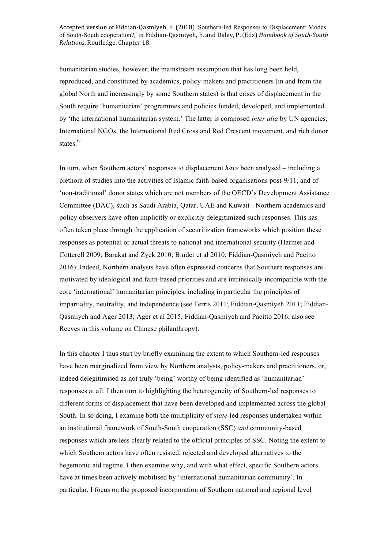humanitarian studies, however, the mainstream assumption that has long been held, reproduced, and constituted by academics, policy-makers and practitioners (in and from the global North and increasingly by some Southern states) is that crises of displacement in the South require 'humanitarian' programmes and policies funded, developed, and implemented by 'the international humanitarian system.' The latter is composed *inter alia* by UN agencies, International NGOs, the International Red Cross and Red Crescent movement, and rich donor states.<sup>iv</sup>

In turn, when Southern actors' responses to displacement *have* been analysed – including a plethora of studies into the activities of Islamic faith-based organisations post-9/11, and of 'non-traditional' donor states which are not members of the OECD's Development Assistance Committee (DAC), such as Saudi Arabia, Qatar, UAE and Kuwait - Northern academics and policy observers have often implicitly or explicitly delegitimized such responses. This has often taken place through the application of securitization frameworks which position these responses as potential or actual threats to national and international security (Harmer and Cotterell 2009; Barakat and Zyck 2010; Binder et al 2010; Fiddian-Qasmiyeh and Pacitto 2016). Indeed, Northern analysts have often expressed concerns that Southern responses are motivated by ideological and faith-based priorities and are intrinsically incompatible with the core 'international' humanitarian principles, including in particular the principles of impartiality, neutrality, and independence (see Ferris 2011; Fiddian-Qasmiyeh 2011; Fiddian-Qasmiyeh and Ager 2013; Ager et al 2015; Fiddian-Qasmiyeh and Pacitto 2016; also see Reeves in this volume on Chinese philanthropy).

In this chapter I thus start by briefly examining the extent to which Southern-led responses have been marginalized from view by Northern analysts, policy-makers and practitioners, or, indeed delegitimised as not truly 'being' worthy of being identified as 'humanitarian' responses at all. I then turn to highlighting the heterogeneity of Southern-led responses to different forms of displacement that have been developed and implemented across the global South. In so doing, I examine both the multiplicity of *state*-led responses undertaken within an institutional framework of South-South cooperation (SSC) *and* community-based responses which are less clearly related to the official principles of SSC. Noting the extent to which Southern actors have often resisted, rejected and developed alternatives to the hegemonic aid regime, I then examine why, and with what effect, specific Southern actors have at times been actively mobilised by 'international humanitarian community'. In particular, I focus on the proposed incorporation of Southern national and regional level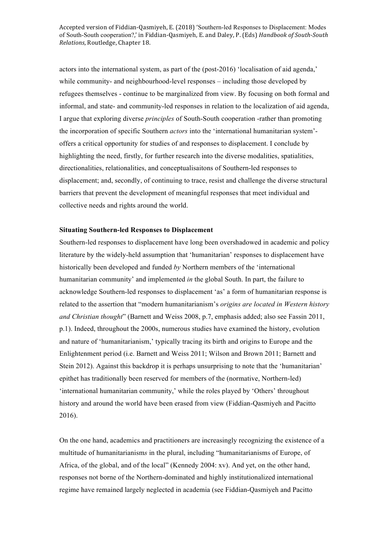actors into the international system, as part of the (post-2016) 'localisation of aid agenda,' while community- and neighbourhood-level responses – including those developed by refugees themselves - continue to be marginalized from view. By focusing on both formal and informal, and state- and community-led responses in relation to the localization of aid agenda, I argue that exploring diverse *principles* of South-South cooperation -rather than promoting the incorporation of specific Southern *actors* into the 'international humanitarian system' offers a critical opportunity for studies of and responses to displacement. I conclude by highlighting the need, firstly, for further research into the diverse modalities, spatialities, directionalities, relationalities, and conceptualisaitons of Southern-led responses to displacement; and, secondly, of continuing to trace, resist and challenge the diverse structural barriers that prevent the development of meaningful responses that meet individual and collective needs and rights around the world.

## **Situating Southern-led Responses to Displacement**

Southern-led responses to displacement have long been overshadowed in academic and policy literature by the widely-held assumption that 'humanitarian' responses to displacement have historically been developed and funded *by* Northern members of the 'international humanitarian community' and implemented *in* the global South. In part, the failure to acknowledge Southern-led responses to displacement 'as' a form of humanitarian response is related to the assertion that "modern humanitarianism's *origins are located in Western history and Christian thought*" (Barnett and Weiss 2008, p.7, emphasis added; also see Fassin 2011, p.1). Indeed, throughout the 2000s, numerous studies have examined the history, evolution and nature of 'humanitarianism,' typically tracing its birth and origins to Europe and the Enlightenment period (i.e. Barnett and Weiss 2011; Wilson and Brown 2011; Barnett and Stein 2012). Against this backdrop it is perhaps unsurprising to note that the 'humanitarian' epithet has traditionally been reserved for members of the (normative, Northern-led) 'international humanitarian community,' while the roles played by 'Others' throughout history and around the world have been erased from view (Fiddian-Qasmiyeh and Pacitto 2016).

On the one hand, academics and practitioners are increasingly recognizing the existence of a multitude of humanitarianism*s* in the plural, including "humanitarianisms of Europe, of Africa, of the global, and of the local" (Kennedy 2004: xv). And yet, on the other hand, responses not borne of the Northern-dominated and highly institutionalized international regime have remained largely neglected in academia (see Fiddian-Qasmiyeh and Pacitto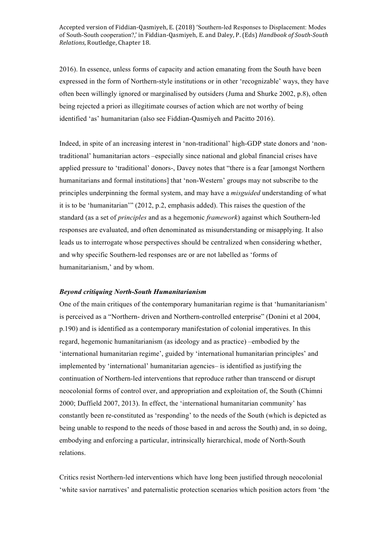2016). In essence, unless forms of capacity and action emanating from the South have been expressed in the form of Northern-style institutions or in other 'recognizable' ways, they have often been willingly ignored or marginalised by outsiders (Juma and Shurke 2002, p.8), often being rejected a priori as illegitimate courses of action which are not worthy of being identified 'as' humanitarian (also see Fiddian-Qasmiyeh and Pacitto 2016).

Indeed, in spite of an increasing interest in 'non-traditional' high-GDP state donors and 'nontraditional' humanitarian actors –especially since national and global financial crises have applied pressure to 'traditional' donors-, Davey notes that "there is a fear [amongst Northern humanitarians and formal institutions] that 'non-Western' groups may not subscribe to the principles underpinning the formal system, and may have a *misguided* understanding of what it is to be 'humanitarian'" (2012, p.2, emphasis added). This raises the question of the standard (as a set of *principles* and as a hegemonic *framework*) against which Southern-led responses are evaluated, and often denominated as misunderstanding or misapplying. It also leads us to interrogate whose perspectives should be centralized when considering whether, and why specific Southern-led responses are or are not labelled as 'forms of humanitarianism,' and by whom.

## *Beyond critiquing North-South Humanitarianism*

One of the main critiques of the contemporary humanitarian regime is that 'humanitarianism' is perceived as a "Northern- driven and Northern-controlled enterprise" (Donini et al 2004, p.190) and is identified as a contemporary manifestation of colonial imperatives. In this regard, hegemonic humanitarianism (as ideology and as practice) –embodied by the 'international humanitarian regime', guided by 'international humanitarian principles' and implemented by 'international' humanitarian agencies– is identified as justifying the continuation of Northern-led interventions that reproduce rather than transcend or disrupt neocolonial forms of control over, and appropriation and exploitation of, the South (Chimni 2000; Duffield 2007, 2013). In effect, the 'international humanitarian community' has constantly been re-constituted as 'responding' to the needs of the South (which is depicted as being unable to respond to the needs of those based in and across the South) and, in so doing, embodying and enforcing a particular, intrinsically hierarchical, mode of North-South relations.

Critics resist Northern-led interventions which have long been justified through neocolonial 'white savior narratives' and paternalistic protection scenarios which position actors from 'the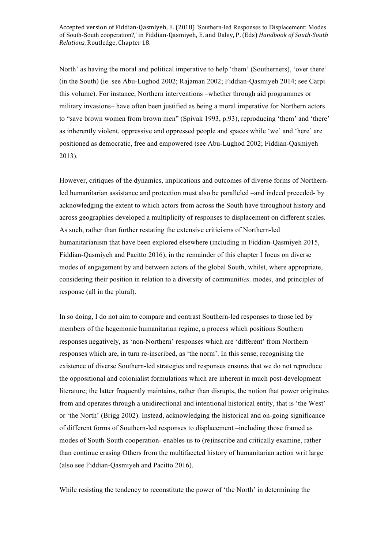North' as having the moral and political imperative to help 'them' (Southerners), 'over there' (in the South) (ie. see Abu-Lughod 2002; Rajaman 2002; Fiddian-Qasmiyeh 2014; see Carpi this volume). For instance, Northern interventions –whether through aid programmes or military invasions– have often been justified as being a moral imperative for Northern actors to "save brown women from brown men" (Spivak 1993, p.93), reproducing 'them' and 'there' as inherently violent, oppressive and oppressed people and spaces while 'we' and 'here' are positioned as democratic, free and empowered (see Abu-Lughod 2002; Fiddian-Qasmiyeh 2013).

However, critiques of the dynamics, implications and outcomes of diverse forms of Northernled humanitarian assistance and protection must also be paralleled –and indeed preceded- by acknowledging the extent to which actors from across the South have throughout history and across geographies developed a multiplicity of responses to displacement on different scales. As such, rather than further restating the extensive criticisms of Northern-led humanitarianism that have been explored elsewhere (including in Fiddian-Qasmiyeh 2015, Fiddian-Qasmiyeh and Pacitto 2016), in the remainder of this chapter I focus on diverse modes of engagement by and between actors of the global South, whilst, where appropriate, considering their position in relation to a diversity of communit*ies,* mode*s*, and principl*es* of response (all in the plural).

In so doing, I do not aim to compare and contrast Southern-led responses to those led by members of the hegemonic humanitarian regime, a process which positions Southern responses negatively, as 'non-Northern' responses which are 'different' from Northern responses which are, in turn re-inscribed, as 'the norm'. In this sense, recognising the existence of diverse Southern-led strategies and responses ensures that we do not reproduce the oppositional and colonialist formulations which are inherent in much post-development literature; the latter frequently maintains, rather than disrupts, the notion that power originates from and operates through a unidirectional and intentional historical entity, that is 'the West' or 'the North' (Brigg 2002). Instead, acknowledging the historical and on-going significance of different forms of Southern-led responses to displacement –including those framed as modes of South-South cooperation- enables us to (re)inscribe and critically examine, rather than continue erasing Others from the multifaceted history of humanitarian action writ large (also see Fiddian-Qasmiyeh and Pacitto 2016).

While resisting the tendency to reconstitute the power of 'the North' in determining the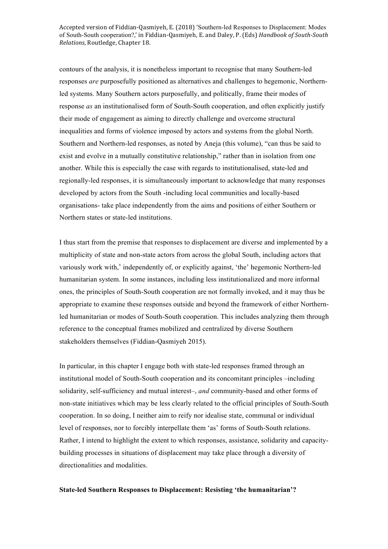contours of the analysis, it is nonetheless important to recognise that many Southern-led responses *are* purposefully positioned as alternatives and challenges to hegemonic, Northernled systems. Many Southern actors purposefully, and politically, frame their modes of response *as* an institutionalised form of South-South cooperation, and often explicitly justify their mode of engagement as aiming to directly challenge and overcome structural inequalities and forms of violence imposed by actors and systems from the global North. Southern and Northern-led responses, as noted by Aneja (this volume), "can thus be said to exist and evolve in a mutually constitutive relationship," rather than in isolation from one another. While this is especially the case with regards to institutionalised, state-led and regionally-led responses, it is simultaneously important to acknowledge that many responses developed by actors from the South -including local communities and locally-based organisations- take place independently from the aims and positions of either Southern or Northern states or state-led institutions.

I thus start from the premise that responses to displacement are diverse and implemented by a multiplicity of state and non-state actors from across the global South, including actors that variously work with, $\theta$  independently of, or explicitly against, 'the' hegemonic Northern-led humanitarian system. In some instances, including less institutionalized and more informal ones, the principles of South-South cooperation are not formally invoked, and it may thus be appropriate to examine these responses outside and beyond the framework of either Northernled humanitarian or modes of South-South cooperation. This includes analyzing them through reference to the conceptual frames mobilized and centralized by diverse Southern stakeholders themselves (Fiddian-Qasmiyeh 2015).

In particular, in this chapter I engage both with state-led responses framed through an institutional model of South-South cooperation and its concomitant principles –including solidarity, self-sufficiency and mutual interest–, *and* community-based and other forms of non-state initiatives which may be less clearly related to the official principles of South-South cooperation. In so doing, I neither aim to reify nor idealise state, communal or individual level of responses, nor to forcibly interpellate them 'as' forms of South-South relations. Rather, I intend to highlight the extent to which responses, assistance, solidarity and capacitybuilding processes in situations of displacement may take place through a diversity of directionalities and modalities.

## **State-led Southern Responses to Displacement: Resisting 'the humanitarian'?**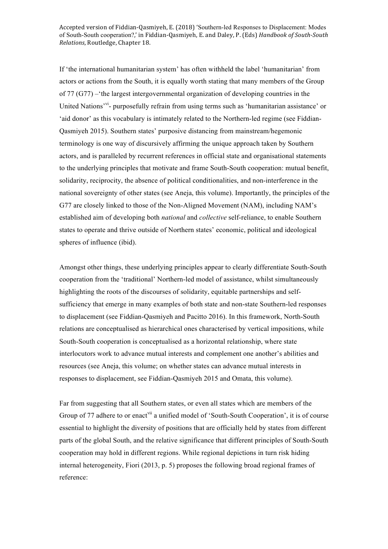If 'the international humanitarian system' has often withheld the label 'humanitarian' from actors or actions from the South, it is equally worth stating that many members of the Group of 77 (G77) –'the largest intergovernmental organization of developing countries in the United Nations'vi- purposefully refrain from using terms such as 'humanitarian assistance' or 'aid donor' as this vocabulary is intimately related to the Northern-led regime (see Fiddian-Qasmiyeh 2015). Southern states' purposive distancing from mainstream/hegemonic terminology is one way of discursively affirming the unique approach taken by Southern actors, and is paralleled by recurrent references in official state and organisational statements to the underlying principles that motivate and frame South-South cooperation: mutual benefit, solidarity, reciprocity, the absence of political conditionalities, and non-interference in the national sovereignty of other states (see Aneja, this volume). Importantly, the principles of the G77 are closely linked to those of the Non-Aligned Movement (NAM), including NAM's established aim of developing both *national* and *collective* self-reliance, to enable Southern states to operate and thrive outside of Northern states' economic, political and ideological spheres of influence (ibid).

Amongst other things, these underlying principles appear to clearly differentiate South-South cooperation from the 'traditional' Northern-led model of assistance, whilst simultaneously highlighting the roots of the discourses of solidarity, equitable partnerships and selfsufficiency that emerge in many examples of both state and non-state Southern-led responses to displacement (see Fiddian-Qasmiyeh and Pacitto 2016). In this framework, North-South relations are conceptualised as hierarchical ones characterised by vertical impositions, while South-South cooperation is conceptualised as a horizontal relationship, where state interlocutors work to advance mutual interests and complement one another's abilities and resources (see Aneja, this volume; on whether states can advance mutual interests in responses to displacement, see Fiddian-Qasmiyeh 2015 and Omata, this volume).

Far from suggesting that all Southern states, or even all states which are members of the Group of 77 adhere to or enact<sup>vii</sup> a unified model of 'South-South Cooperation', it is of course essential to highlight the diversity of positions that are officially held by states from different parts of the global South, and the relative significance that different principles of South-South cooperation may hold in different regions. While regional depictions in turn risk hiding internal heterogeneity, Fiori (2013, p. 5) proposes the following broad regional frames of reference: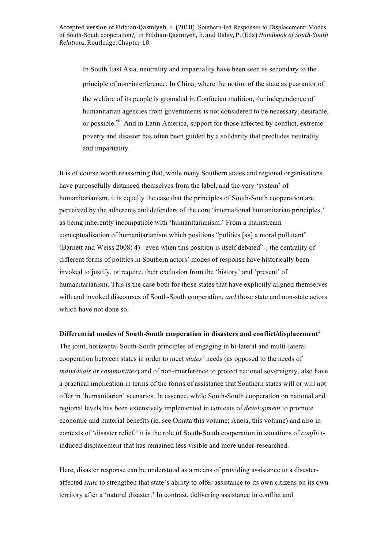In South East Asia, neutrality and impartiality have been seen as secondary to the principle of non**-**interference. In China, where the notion of the state as guarantor of the welfare of its people is grounded in Confucian tradition, the independence of humanitarian agencies from governments is not considered to be necessary, desirable, or possible.<sup>viii</sup> And in Latin America, support for those affected by conflict, extreme poverty and disaster has often been guided by a solidarity that precludes neutrality and impartiality.

It is of course worth reasserting that, while many Southern states and regional organisations have purposefully distanced themselves from the label, and the very 'system' of humanitarianism, it is equally the case that the principles of South-South cooperation are perceived by the adherents and defenders of the core 'international humanitarian principles,' as being inherently incompatible with 'humanitarianism.' From a mainstream conceptualisation of humanitarianism which positions "politics [as] a moral pollutant" (Barnett and Weiss 2008: 4) –even when this position is itself debated<sup>ix</sup>-, the centrality of different forms of politics in Southern actors' modes of response have historically been invoked to justify, or require, their exclusion from the 'history' and 'present' of humanitarianism. This is the case both for those states that have explicitly aligned themselves with and invoked discourses of South-South cooperation, *and* those state and non-state actors which have not done so.

# **Differential modes of South-South cooperation in disasters and conflict/displacement**<sup>x</sup>

The joint, horizontal South-South principles of engaging in bi-lateral and multi-lateral cooperation between states in order to meet *states'* needs (as opposed to the needs of *individuals* or *communities*) and of non-interference to protect national sovereignty, also have a practical implication in terms of the forms of assistance that Southern states will or will not offer in 'humanitarian' scenarios. In essence, while South-South cooperation on national and regional levels has been extensively implemented in contexts of *development* to promote economic and material benefits (ie. see Omata this volume; Aneja, this volume) and also in contexts of 'disaster relief,' it is the role of South-South cooperation in situations of *conflict*induced displacement that has remained less visible and more under-researched.

Here, disaster response can be understood as a means of providing assistance to a disasteraffected *state* to strengthen that state's ability to offer assistance to its own citizens on its own territory after a 'natural disaster.' In contrast, delivering assistance in conflict and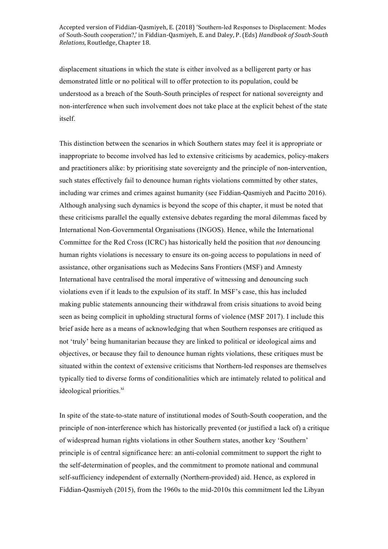displacement situations in which the state is either involved as a belligerent party or has demonstrated little or no political will to offer protection to its population, could be understood as a breach of the South-South principles of respect for national sovereignty and non-interference when such involvement does not take place at the explicit behest of the state itself.

This distinction between the scenarios in which Southern states may feel it is appropriate or inappropriate to become involved has led to extensive criticisms by academics, policy-makers and practitioners alike: by prioritising state sovereignty and the principle of non-intervention, such states effectively fail to denounce human rights violations committed by other states, including war crimes and crimes against humanity (see Fiddian-Qasmiyeh and Pacitto 2016). Although analysing such dynamics is beyond the scope of this chapter, it must be noted that these criticisms parallel the equally extensive debates regarding the moral dilemmas faced by International Non-Governmental Organisations (INGOS). Hence, while the International Committee for the Red Cross (ICRC) has historically held the position that *not* denouncing human rights violations is necessary to ensure its on-going access to populations in need of assistance, other organisations such as Medecins Sans Frontiers (MSF) and Amnesty International have centralised the moral imperative of witnessing and denouncing such violations even if it leads to the expulsion of its staff. In MSF's case, this has included making public statements announcing their withdrawal from crisis situations to avoid being seen as being complicit in upholding structural forms of violence (MSF 2017). I include this brief aside here as a means of acknowledging that when Southern responses are critiqued as not 'truly' being humanitarian because they are linked to political or ideological aims and objectives, or because they fail to denounce human rights violations, these critiques must be situated within the context of extensive criticisms that Northern-led responses are themselves typically tied to diverse forms of conditionalities which are intimately related to political and ideological priorities.<sup>xi</sup>

In spite of the state-to-state nature of institutional modes of South-South cooperation, and the principle of non-interference which has historically prevented (or justified a lack of) a critique of widespread human rights violations in other Southern states, another key 'Southern' principle is of central significance here: an anti-colonial commitment to support the right to the self-determination of peoples, and the commitment to promote national and communal self-sufficiency independent of externally (Northern-provided) aid. Hence, as explored in Fiddian-Qasmiyeh (2015), from the 1960s to the mid-2010s this commitment led the Libyan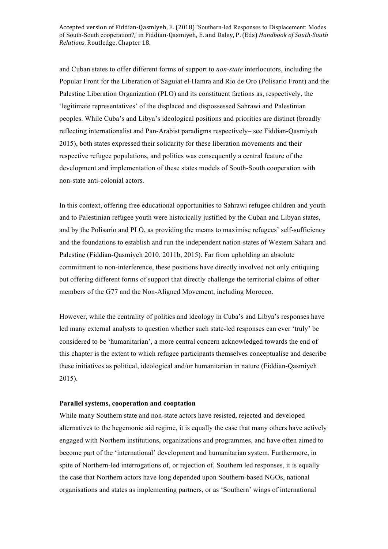and Cuban states to offer different forms of support to *non-state* interlocutors, including the Popular Front for the Liberation of Saguiat el-Hamra and Rio de Oro (Polisario Front) and the Palestine Liberation Organization (PLO) and its constituent factions as, respectively, the 'legitimate representatives' of the displaced and dispossessed Sahrawi and Palestinian peoples. While Cuba's and Libya's ideological positions and priorities are distinct (broadly reflecting internationalist and Pan-Arabist paradigms respectively– see Fiddian-Qasmiyeh 2015), both states expressed their solidarity for these liberation movements and their respective refugee populations, and politics was consequently a central feature of the development and implementation of these states models of South-South cooperation with non-state anti-colonial actors.

In this context, offering free educational opportunities to Sahrawi refugee children and youth and to Palestinian refugee youth were historically justified by the Cuban and Libyan states, and by the Polisario and PLO, as providing the means to maximise refugees' self-sufficiency and the foundations to establish and run the independent nation-states of Western Sahara and Palestine (Fiddian-Qasmiyeh 2010, 2011b, 2015). Far from upholding an absolute commitment to non-interference, these positions have directly involved not only critiquing but offering different forms of support that directly challenge the territorial claims of other members of the G77 and the Non-Aligned Movement, including Morocco.

However, while the centrality of politics and ideology in Cuba's and Libya's responses have led many external analysts to question whether such state-led responses can ever 'truly' be considered to be 'humanitarian', a more central concern acknowledged towards the end of this chapter is the extent to which refugee participants themselves conceptualise and describe these initiatives as political, ideological and/or humanitarian in nature (Fiddian-Qasmiyeh 2015).

## **Parallel systems, cooperation and cooptation**

While many Southern state and non-state actors have resisted, rejected and developed alternatives to the hegemonic aid regime, it is equally the case that many others have actively engaged with Northern institutions, organizations and programmes, and have often aimed to become part of the 'international' development and humanitarian system. Furthermore, in spite of Northern-led interrogations of, or rejection of, Southern led responses, it is equally the case that Northern actors have long depended upon Southern-based NGOs, national organisations and states as implementing partners, or as 'Southern' wings of international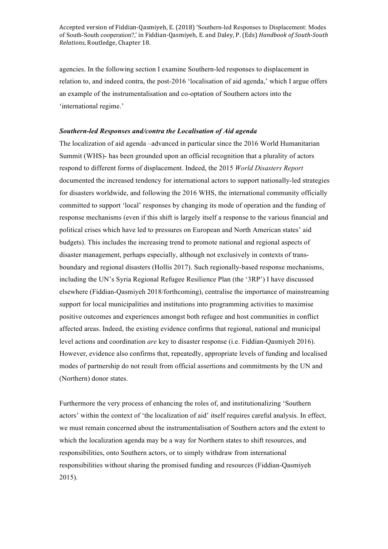agencies. In the following section I examine Southern-led responses to displacement in relation to, and indeed contra, the post-2016 'localisation of aid agenda,' which I argue offers an example of the instrumentalisation and co-optation of Southern actors into the 'international regime.'

## *Southern-led Responses and/contra the Localisation of Aid agenda*

The localization of aid agenda –advanced in particular since the 2016 World Humanitarian Summit (WHS)- has been grounded upon an official recognition that a plurality of actors respond to different forms of displacement. Indeed, the 2015 *World Disasters Report* documented the increased tendency for international actors to support nationally-led strategies for disasters worldwide, and following the 2016 WHS, the international community officially committed to support 'local' responses by changing its mode of operation and the funding of response mechanisms (even if this shift is largely itself a response to the various financial and political crises which have led to pressures on European and North American states' aid budgets). This includes the increasing trend to promote national and regional aspects of disaster management, perhaps especially, although not exclusively in contexts of transboundary and regional disasters (Hollis 2017). Such regionally-based response mechanisms, including the UN's Syria Regional Refugee Resilience Plan (the '3RP') I have discussed elsewhere (Fiddian-Qasmiyeh 2018/forthcoming), centralise the importance of mainstreaming support for local municipalities and institutions into programming activities to maximise positive outcomes and experiences amongst both refugee and host communities in conflict affected areas. Indeed, the existing evidence confirms that regional, national and municipal level actions and coordination *are* key to disaster response (i.e. Fiddian-Qasmiyeh 2016). However, evidence also confirms that, repeatedly, appropriate levels of funding and localised modes of partnership do not result from official assertions and commitments by the UN and (Northern) donor states.

Furthermore the very process of enhancing the roles of, and institutionalizing 'Southern actors' within the context of 'the localization of aid' itself requires careful analysis. In effect, we must remain concerned about the instrumentalisation of Southern actors and the extent to which the localization agenda may be a way for Northern states to shift resources, and responsibilities, onto Southern actors, or to simply withdraw from international responsibilities without sharing the promised funding and resources (Fiddian-Qasmiyeh 2015).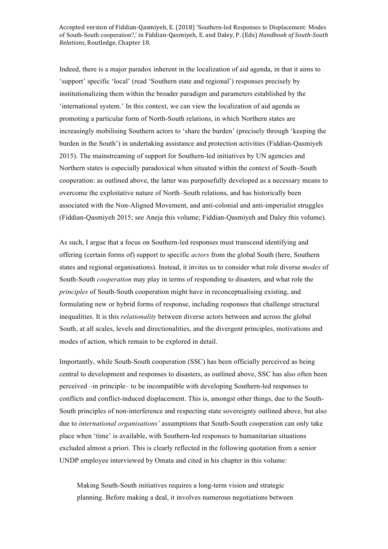Indeed, there is a major paradox inherent in the localization of aid agenda, in that it aims to 'support' specific 'local' (read 'Southern state and regional') responses precisely by institutionalizing them within the broader paradigm and parameters established by the 'international system.' In this context, we can view the localization of aid agenda as promoting a particular form of North-South relations, in which Northern states are increasingly mobilising Southern actors to 'share the burden' (precisely through 'keeping the burden in the South') in undertaking assistance and protection activities (Fiddian-Qasmiyeh 2015). The mainstreaming of support for Southern-led initiatives by UN agencies and Northern states is especially paradoxical when situated within the context of South–South cooperation: as outlined above, the latter was purposefully developed as a necessary means to overcome the exploitative nature of North–South relations, and has historically been associated with the Non-Aligned Movement, and anti-colonial and anti-imperialist struggles (Fiddian-Qasmiyeh 2015; see Aneja this volume; Fiddian-Qasmiyeh and Daley this volume).

As such, I argue that a focus on Southern-led responses must transcend identifying and offering (certain forms of) support to specific *actors* from the global South (here, Southern states and regional organisations). Instead, it invites us to consider what role diverse *modes* of South-South *cooperation* may play in terms of responding to disasters, and what role the *principles* of South-South cooperation might have in reconceptualising existing, and formulating new or hybrid forms of response, including responses that challenge structural inequalities. It is this *relationality* between diverse actors between and across the global South, at all scales, levels and directionalities, and the divergent principles, motivations and modes of action, which remain to be explored in detail.

Importantly, while South-South cooperation (SSC) has been officially perceived as being central to development and responses to disasters, as outlined above, SSC has also often been perceived –in principle– to be incompatible with developing Southern-led responses to conflicts and conflict-induced displacement. This is, amongst other things, due to the South-South principles of non-interference and respecting state sovereignty outlined above, but also due to *international organisations'* assumptions that South-South cooperation can only take place when 'time' is available, with Southern-led responses to humanitarian situations excluded almost a priori. This is clearly reflected in the following quotation from a senior UNDP employee interviewed by Omata and cited in his chapter in this volume:

Making South-South initiatives requires a long-term vision and strategic planning. Before making a deal, it involves numerous negotiations between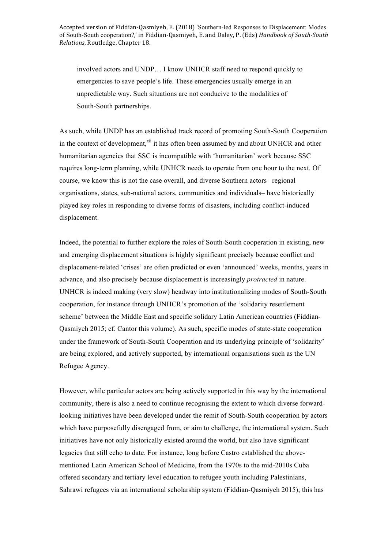involved actors and UNDP… I know UNHCR staff need to respond quickly to emergencies to save people's life. These emergencies usually emerge in an unpredictable way. Such situations are not conducive to the modalities of South-South partnerships.

As such, while UNDP has an established track record of promoting South-South Cooperation in the context of development,<sup>xii</sup> it has often been assumed by and about UNHCR and other humanitarian agencies that SSC is incompatible with 'humanitarian' work because SSC requires long-term planning, while UNHCR needs to operate from one hour to the next. Of course, we know this is not the case overall, and diverse Southern actors –regional organisations, states, sub-national actors, communities and individuals– have historically played key roles in responding to diverse forms of disasters, including conflict-induced displacement.

Indeed, the potential to further explore the roles of South-South cooperation in existing, new and emerging displacement situations is highly significant precisely because conflict and displacement-related 'crises' are often predicted or even 'announced' weeks, months, years in advance, and also precisely because displacement is increasingly *protracted* in nature. UNHCR is indeed making (very slow) headway into institutionalizing modes of South-South cooperation, for instance through UNHCR's promotion of the 'solidarity resettlement scheme' between the Middle East and specific solidary Latin American countries (Fiddian-Qasmiyeh 2015; cf. Cantor this volume). As such, specific modes of state-state cooperation under the framework of South-South Cooperation and its underlying principle of 'solidarity' are being explored, and actively supported, by international organisations such as the UN Refugee Agency.

However, while particular actors are being actively supported in this way by the international community, there is also a need to continue recognising the extent to which diverse forwardlooking initiatives have been developed under the remit of South-South cooperation by actors which have purposefully disengaged from, or aim to challenge, the international system. Such initiatives have not only historically existed around the world, but also have significant legacies that still echo to date. For instance, long before Castro established the abovementioned Latin American School of Medicine, from the 1970s to the mid-2010s Cuba offered secondary and tertiary level education to refugee youth including Palestinians, Sahrawi refugees via an international scholarship system (Fiddian-Qasmiyeh 2015); this has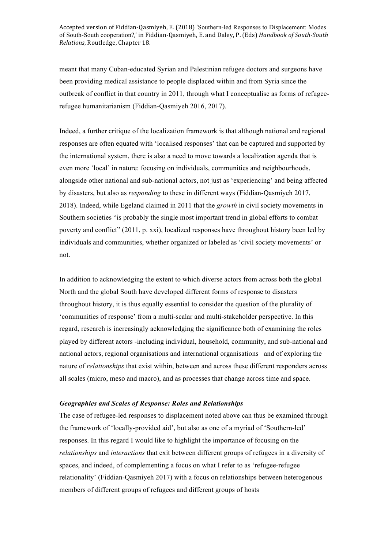meant that many Cuban-educated Syrian and Palestinian refugee doctors and surgeons have been providing medical assistance to people displaced within and from Syria since the outbreak of conflict in that country in 2011, through what I conceptualise as forms of refugeerefugee humanitarianism (Fiddian-Qasmiyeh 2016, 2017).

Indeed, a further critique of the localization framework is that although national and regional responses are often equated with 'localised responses' that can be captured and supported by the international system, there is also a need to move towards a localization agenda that is even more 'local' in nature: focusing on individuals, communities and neighbourhoods, alongside other national and sub-national actors, not just as 'experiencing' and being affected by disasters, but also as *responding* to these in different ways (Fiddian-Qasmiyeh 2017, 2018). Indeed, while Egeland claimed in 2011 that the *growth* in civil society movements in Southern societies "is probably the single most important trend in global efforts to combat poverty and conflict" (2011, p. xxi), localized responses have throughout history been led by individuals and communities, whether organized or labeled as 'civil society movements' or not.

In addition to acknowledging the extent to which diverse actors from across both the global North and the global South have developed different forms of response to disasters throughout history, it is thus equally essential to consider the question of the plurality of 'communities of response' from a multi-scalar and multi-stakeholder perspective. In this regard, research is increasingly acknowledging the significance both of examining the roles played by different actors -including individual, household, community, and sub-national and national actors, regional organisations and international organisations– and of exploring the nature of *relationships* that exist within, between and across these different responders across all scales (micro, meso and macro), and as processes that change across time and space.

# *Geographies and Scales of Response: Roles and Relationships*

The case of refugee-led responses to displacement noted above can thus be examined through the framework of 'locally-provided aid', but also as one of a myriad of 'Southern-led' responses. In this regard I would like to highlight the importance of focusing on the *relationships* and *interactions* that exit between different groups of refugees in a diversity of spaces, and indeed, of complementing a focus on what I refer to as 'refugee-refugee relationality' (Fiddian-Qasmiyeh 2017) with a focus on relationships between heterogenous members of different groups of refugees and different groups of hosts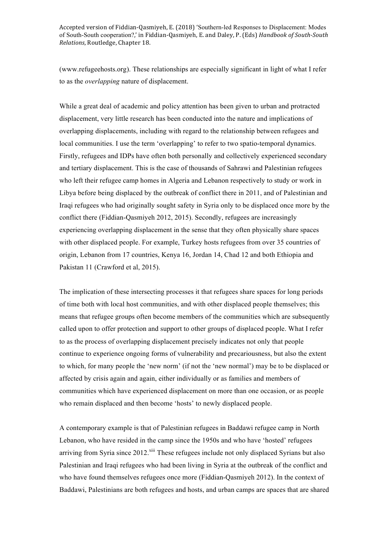(www.refugeehosts.org). These relationships are especially significant in light of what I refer to as the *overlapping* nature of displacement.

While a great deal of academic and policy attention has been given to urban and protracted displacement, very little research has been conducted into the nature and implications of overlapping displacements, including with regard to the relationship between refugees and local communities. I use the term 'overlapping' to refer to two spatio-temporal dynamics. Firstly, refugees and IDPs have often both personally and collectively experienced secondary and tertiary displacement. This is the case of thousands of Sahrawi and Palestinian refugees who left their refugee camp homes in Algeria and Lebanon respectively to study or work in Libya before being displaced by the outbreak of conflict there in 2011, and of Palestinian and Iraqi refugees who had originally sought safety in Syria only to be displaced once more by the conflict there (Fiddian-Qasmiyeh 2012, 2015). Secondly, refugees are increasingly experiencing overlapping displacement in the sense that they often physically share spaces with other displaced people. For example, Turkey hosts refugees from over 35 countries of origin, Lebanon from 17 countries, Kenya 16, Jordan 14, Chad 12 and both Ethiopia and Pakistan 11 (Crawford et al, 2015).

The implication of these intersecting processes it that refugees share spaces for long periods of time both with local host communities, and with other displaced people themselves; this means that refugee groups often become members of the communities which are subsequently called upon to offer protection and support to other groups of displaced people. What I refer to as the process of overlapping displacement precisely indicates not only that people continue to experience ongoing forms of vulnerability and precariousness, but also the extent to which, for many people the 'new norm' (if not the 'new normal') may be to be displaced or affected by crisis again and again, either individually or as families and members of communities which have experienced displacement on more than one occasion, or as people who remain displaced and then become 'hosts' to newly displaced people.

A contemporary example is that of Palestinian refugees in Baddawi refugee camp in North Lebanon, who have resided in the camp since the 1950s and who have 'hosted' refugees arriving from Syria since 2012.<sup>xiii</sup> These refugees include not only displaced Syrians but also Palestinian and Iraqi refugees who had been living in Syria at the outbreak of the conflict and who have found themselves refugees once more (Fiddian-Qasmiyeh 2012). In the context of Baddawi, Palestinians are both refugees and hosts, and urban camps are spaces that are shared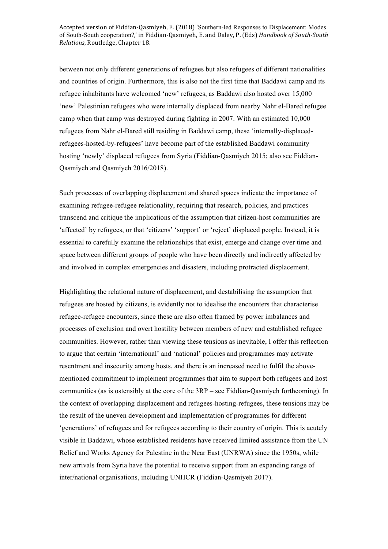between not only different generations of refugees but also refugees of different nationalities and countries of origin. Furthermore, this is also not the first time that Baddawi camp and its refugee inhabitants have welcomed 'new' refugees, as Baddawi also hosted over 15,000 'new' Palestinian refugees who were internally displaced from nearby Nahr el-Bared refugee camp when that camp was destroyed during fighting in 2007. With an estimated 10,000 refugees from Nahr el-Bared still residing in Baddawi camp, these 'internally-displacedrefugees-hosted-by-refugees' have become part of the established Baddawi community hosting 'newly' displaced refugees from Syria (Fiddian-Qasmiyeh 2015; also see Fiddian-Qasmiyeh and Qasmiyeh 2016/2018).

Such processes of overlapping displacement and shared spaces indicate the importance of examining refugee-refugee relationality, requiring that research, policies, and practices transcend and critique the implications of the assumption that citizen-host communities are 'affected' by refugees, or that 'citizens' 'support' or 'reject' displaced people. Instead, it is essential to carefully examine the relationships that exist, emerge and change over time and space between different groups of people who have been directly and indirectly affected by and involved in complex emergencies and disasters, including protracted displacement.

Highlighting the relational nature of displacement, and destabilising the assumption that refugees are hosted by citizens, is evidently not to idealise the encounters that characterise refugee-refugee encounters, since these are also often framed by power imbalances and processes of exclusion and overt hostility between members of new and established refugee communities. However, rather than viewing these tensions as inevitable, I offer this reflection to argue that certain 'international' and 'national' policies and programmes may activate resentment and insecurity among hosts, and there is an increased need to fulfil the abovementioned commitment to implement programmes that aim to support both refugees and host communities (as is ostensibly at the core of the 3RP – see Fiddian-Qasmiyeh forthcoming). In the context of overlapping displacement and refugees-hosting-refugees, these tensions may be the result of the uneven development and implementation of programmes for different 'generations' of refugees and for refugees according to their country of origin. This is acutely visible in Baddawi, whose established residents have received limited assistance from the UN Relief and Works Agency for Palestine in the Near East (UNRWA) since the 1950s, while new arrivals from Syria have the potential to receive support from an expanding range of inter/national organisations, including UNHCR (Fiddian-Qasmiyeh 2017).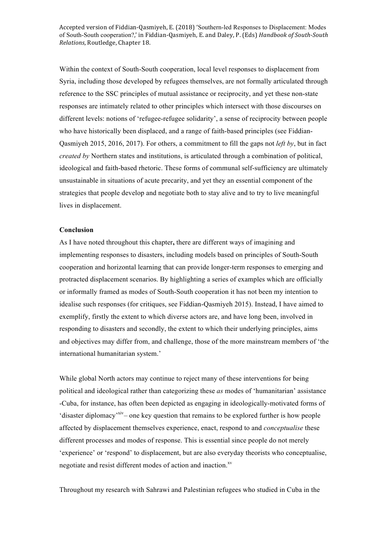Within the context of South-South cooperation, local level responses to displacement from Syria, including those developed by refugees themselves, are not formally articulated through reference to the SSC principles of mutual assistance or reciprocity, and yet these non-state responses are intimately related to other principles which intersect with those discourses on different levels: notions of 'refugee-refugee solidarity', a sense of reciprocity between people who have historically been displaced, and a range of faith-based principles (see Fiddian-Qasmiyeh 2015, 2016, 2017). For others, a commitment to fill the gaps not *left by*, but in fact *created by* Northern states and institutions, is articulated through a combination of political, ideological and faith-based rhetoric. These forms of communal self-sufficiency are ultimately unsustainable in situations of acute precarity, and yet they an essential component of the strategies that people develop and negotiate both to stay alive and to try to live meaningful lives in displacement.

## **Conclusion**

As I have noted throughout this chapter**,** there are different ways of imagining and implementing responses to disasters, including models based on principles of South-South cooperation and horizontal learning that can provide longer-term responses to emerging and protracted displacement scenarios. By highlighting a series of examples which are officially or informally framed as modes of South-South cooperation it has not been my intention to idealise such responses (for critiques, see Fiddian-Qasmiyeh 2015). Instead, I have aimed to exemplify, firstly the extent to which diverse actors are, and have long been, involved in responding to disasters and secondly, the extent to which their underlying principles, aims and objectives may differ from, and challenge, those of the more mainstream members of 'the international humanitarian system.'

While global North actors may continue to reject many of these interventions for being political and ideological rather than categorizing these *as* modes of 'humanitarian' assistance -Cuba, for instance, has often been depicted as engaging in ideologically-motivated forms of 'disaster diplomacy<sup>'xiv</sup>– one key question that remains to be explored further is how people affected by displacement themselves experience, enact, respond to and *conceptualise* these different processes and modes of response. This is essential since people do not merely 'experience' or 'respond' to displacement, but are also everyday theorists who conceptualise, negotiate and resist different modes of action and inaction.<sup>xv</sup>

Throughout my research with Sahrawi and Palestinian refugees who studied in Cuba in the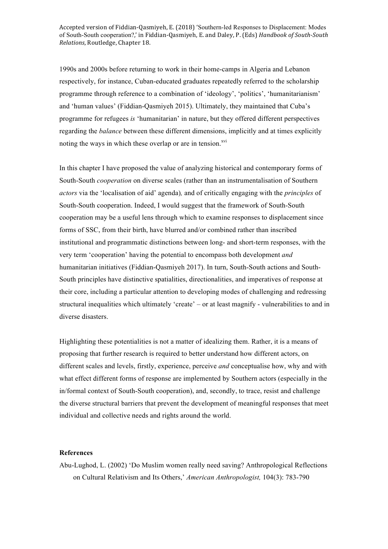1990s and 2000s before returning to work in their home-camps in Algeria and Lebanon respectively, for instance, Cuban-educated graduates repeatedly referred to the scholarship programme through reference to a combination of 'ideology', 'politics', 'humanitarianism' and 'human values' (Fiddian-Qasmiyeh 2015). Ultimately, they maintained that Cuba's programme for refugees *is* 'humanitarian' in nature, but they offered different perspectives regarding the *balance* between these different dimensions, implicitly and at times explicitly noting the ways in which these overlap or are in tension.<sup>xvi</sup>

In this chapter I have proposed the value of analyzing historical and contemporary forms of South-South *cooperation* on diverse scales (rather than an instrumentalisation of Southern *actors* via the 'localisation of aid' agenda)*,* and of critically engaging with the *principles* of South-South cooperation. Indeed, I would suggest that the framework of South-South cooperation may be a useful lens through which to examine responses to displacement since forms of SSC, from their birth, have blurred and/or combined rather than inscribed institutional and programmatic distinctions between long- and short-term responses, with the very term 'cooperation' having the potential to encompass both development *and*  humanitarian initiatives (Fiddian-Qasmiyeh 2017). In turn, South-South actions and South-South principles have distinctive spatialities, directionalities, and imperatives of response at their core, including a particular attention to developing modes of challenging and redressing structural inequalities which ultimately 'create' – or at least magnify - vulnerabilities to and in diverse disasters.

Highlighting these potentialities is not a matter of idealizing them. Rather, it is a means of proposing that further research is required to better understand how different actors, on different scales and levels, firstly, experience, perceive *and* conceptualise how, why and with what effect different forms of response are implemented by Southern actors (especially in the in/formal context of South-South cooperation), and, secondly, to trace, resist and challenge the diverse structural barriers that prevent the development of meaningful responses that meet individual and collective needs and rights around the world.

## **References**

Abu-Lughod, L. (2002) 'Do Muslim women really need saving? Anthropological Reflections on Cultural Relativism and Its Others,' *American Anthropologist,* 104(3): 783-790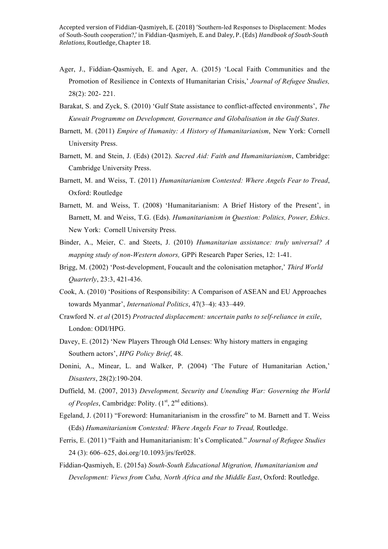- Ager, J., Fiddian-Qasmiyeh, E. and Ager, A. (2015) 'Local Faith Communities and the Promotion of Resilience in Contexts of Humanitarian Crisis,' *Journal of Refugee Studies,*  28(2): 202- 221.
- Barakat, S. and Zyck, S. (2010) 'Gulf State assistance to conflict-affected environments', *The Kuwait Programme on Development, Governance and Globalisation in the Gulf States*.
- Barnett, M. (2011) *Empire of Humanity: A History of Humanitarianism*, New York: Cornell University Press.
- Barnett, M. and Stein, J. (Eds) (2012). *Sacred Aid: Faith and Humanitarianism*, Cambridge: Cambridge University Press.
- Barnett, M. and Weiss, T. (2011) *Humanitarianism Contested: Where Angels Fear to Tread*, Oxford: Routledge
- Barnett, M. and Weiss, T. (2008) 'Humanitarianism: A Brief History of the Present', in Barnett, M. and Weiss, T.G. (Eds). *Humanitarianism in Question: Politics, Power, Ethics*. New York: Cornell University Press.
- Binder, A., Meier, C. and Steets, J. (2010) *Humanitarian assistance: truly universal? A mapping study of non-Western donors,* GPPi Research Paper Series, 12: 1-41.
- Brigg, M. (2002) 'Post-development, Foucault and the colonisation metaphor,' *Third World Quarterly*, 23:3, 421-436.
- Cook, A. (2010) 'Positions of Responsibility: A Comparison of ASEAN and EU Approaches towards Myanmar', *International Politics*, 47(3–4): 433–449.
- Crawford N. *et al* (2015) *Protracted displacement: uncertain paths to self-reliance in exile*, London: ODI/HPG.
- Davey, E. (2012) 'New Players Through Old Lenses: Why history matters in engaging Southern actors', *HPG Policy Brief*, 48.
- Donini, A., Minear, L. and Walker, P. (2004) 'The Future of Humanitarian Action,' *Disasters*, 28(2):190-204.
- Duffield, M. (2007, 2013) *Development, Security and Unending War: Governing the World of Peoples*, Cambridge: Polity.  $(1<sup>st</sup>, 2<sup>nd</sup>$  editions).
- Egeland, J. (2011) "Foreword: Humanitarianism in the crossfire" to M. Barnett and T. Weiss (Eds) *Humanitarianism Contested: Where Angels Fear to Tread,* Routledge.
- Ferris, E. (2011) "Faith and Humanitarianism: It's Complicated." *Journal of Refugee Studies* 24 (3): 606–625, doi.org/10.1093/jrs/fer028.
- Fiddian-Qasmiyeh, E. (2015a) *South-South Educational Migration, Humanitarianism and Development: Views from Cuba, North Africa and the Middle East*, Oxford: Routledge.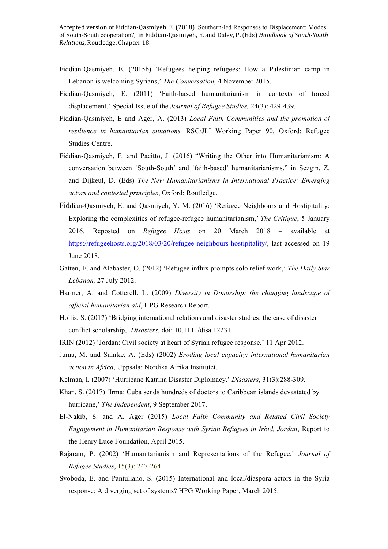- Fiddian-Qasmiyeh, E. (2015b) 'Refugees helping refugees: How a Palestinian camp in Lebanon is welcoming Syrians,' *The Conversation,* 4 November 2015.
- Fiddian-Qasmiyeh, E. (2011) 'Faith-based humanitarianism in contexts of forced displacement,' Special Issue of the *Journal of Refugee Studies,* 24(3): 429-439.
- Fiddian-Qasmiyeh, E and Ager, A. (2013) *Local Faith Communities and the promotion of resilience in humanitarian situations,* RSC/JLI Working Paper 90, Oxford: Refugee Studies Centre.
- Fiddian-Qasmiyeh, E. and Pacitto, J. (2016) "Writing the Other into Humanitarianism: A conversation between 'South-South' and 'faith-based' humanitarianisms," in Sezgin, Z. and Dijkeul, D. (Eds) *The New Humanitarianisms in International Practice: Emerging actors and contested principles*, Oxford: Routledge.
- Fiddian-Qasmiyeh, E. and Qasmiyeh, Y. M. (2016) 'Refugee Neighbours and Hostipitality: Exploring the complexities of refugee-refugee humanitarianism,' *The Critique*, 5 January 2016. Reposted on *Refugee Hosts* on 20 March 2018 – available at https://refugeehosts.org/2018/03/20/refugee-neighbours-hostipitality/, last accessed on 19 June 2018.
- Gatten, E. and Alabaster, O. (2012) 'Refugee influx prompts solo relief work,' *The Daily Star Lebanon,* 27 July 2012.
- Harmer, A. and Cotterell, L. (2009) *Diversity in Donorship: the changing landscape of official humanitarian aid*, HPG Research Report.
- Hollis, S. (2017) 'Bridging international relations and disaster studies: the case of disaster– conflict scholarship,' *Disasters*, doi: 10.1111/disa.12231
- IRIN (2012) 'Jordan: Civil society at heart of Syrian refugee response,' 11 Apr 2012.
- Juma, M. and Suhrke, A. (Eds) (2002) *Eroding local capacity: international humanitarian action in Africa*, Uppsala: Nordika Afrika Institutet.
- Kelman, I. (2007) 'Hurricane Katrina Disaster Diplomacy.' *Disasters*, 31(3):288-309.
- Khan, S. (2017) 'Irma: Cuba sends hundreds of doctors to Caribbean islands devastated by hurricane,' *The Independent*, 9 September 2017.
- El-Nakib, S. and A. Ager (2015) *Local Faith Community and Related Civil Society Engagement in Humanitarian Response with Syrian Refugees in Irbid, Jordan*, Report to the Henry Luce Foundation, April 2015.
- Rajaram, P. (2002) 'Humanitarianism and Representations of the Refugee,' *Journal of Refugee Studies*, 15(3): 247-264.
- Svoboda, E. and Pantuliano, S. (2015) International and local/diaspora actors in the Syria response: A diverging set of systems? HPG Working Paper, March 2015.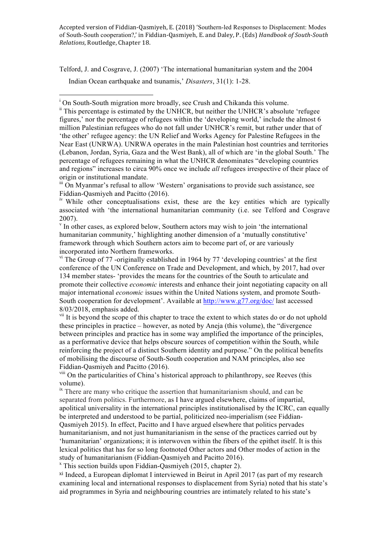Telford, J. and Cosgrave, J. (2007) 'The international humanitarian system and the 2004

Indian Ocean earthquake and tsunamis,' *Disasters*, 31(1): 1-28.

 

<sup>i</sup> On South-South migration more broadly, see Crush and Chikanda this volume.

iii On Myanmar's refusal to allow 'Western' organisations to provide such assistance, see Fiddian-Qasmiyeh and Pacitto (2016).

 $\overline{v}$  In other cases, as explored below. Southern actors may wish to join 'the international humanitarian community,' highlighting another dimension of a 'mutually constitutive' framework through which Southern actors aim to become part of, or are variously incorporated into Northern frameworks.

 $v<sup>i</sup>$  The Group of 77 -originally established in 1964 by 77 'developing countries' at the first conference of the UN Conference on Trade and Development, and which, by 2017, had over 134 member states- 'provides the means for the countries of the South to articulate and promote their collective *economic* interests and enhance their joint negotiating capacity on all major international *economic* issues within the United Nations system, and promote South-South cooperation for development'. Available at http://www.g77.org/doc/ last accessed 8/03/2018, emphasis added.

<sup>vii</sup> It is beyond the scope of this chapter to trace the extent to which states do or do not uphold these principles in practice – however, as noted by Aneja (this volume), the "divergence between principles and practice has in some way amplified the importance of the principles, as a performative device that helps obscure sources of competition within the South, while reinforcing the project of a distinct Southern identity and purpose." On the political benefits of mobilising the discourse of South-South cooperation and NAM principles, also see Fiddian-Qasmiyeh and Pacitto (2016).

viii On the particularities of China's historical approach to philanthropy, see Reeves (this volume).

<sup>ix</sup> There are many who critique the assertion that humanitarianism should, and can be separated from politics. Furthermore, as I have argued elsewhere, claims of impartial, apolitical universality in the international principles institutionalised by the ICRC, can equally be interpreted and understood to be partial, politicized neo-imperialism (see Fiddian-Qasmiyeh 2015). In effect, Pacitto and I have argued elsewhere that politics pervades humanitarianism, and not just humanitarianism in the sense of the practices carried out by 'humanitarian' organizations; it is interwoven within the fibers of the epithet itself. It is this lexical politics that has for so long footnoted Other actors and Other modes of action in the study of humanitarianism (Fiddian-Qasmiyeh and Pacitto 2016).<br><sup>x</sup> This section builds upon Fiddian-Qasmiyeh (2015, chapter 2).

xi Indeed, a European diplomat I interviewed in Beirut in April 2017 (as part of my research examining local and international responses to displacement from Syria) noted that his state's aid programmes in Syria and neighbouring countries are intimately related to his state's

ii This percentage is estimated by the UNHCR, but neither the UNHCR's absolute 'refugee figures,' nor the percentage of refugees within the 'developing world,' include the almost 6 million Palestinian refugees who do not fall under UNHCR's remit, but rather under that of 'the other' refugee agency: the UN Relief and Works Agency for Palestine Refugees in the Near East (UNRWA). UNRWA operates in the main Palestinian host countries and territories (Lebanon, Jordan, Syria, Gaza and the West Bank), all of which are 'in the global South.' The percentage of refugees remaining in what the UNHCR denominates "developing countries and regions" increases to circa 90% once we include *all* refugees irrespective of their place of origin or institutional mandate.

<sup>&</sup>lt;sup>iv</sup> While other conceptualisations exist, these are the key entities which are typically associated with 'the international humanitarian community (i.e. see Telford and Cosgrave 2007).